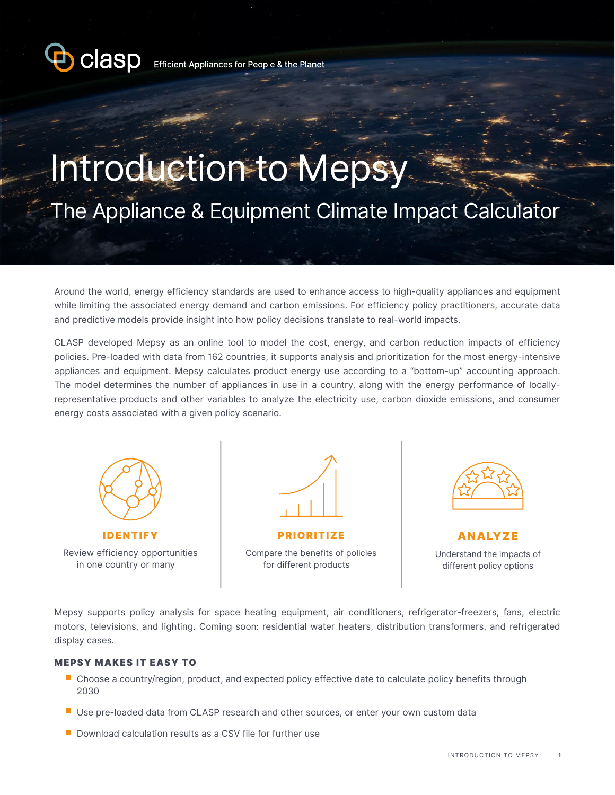

# Introduction to Mepsy The Appliance & Equipment Climate Impact Calculator

Around the world, energy efficiency standards are used to enhance access to high-quality appliances and equipment while limiting the associated energy demand and carbon emissions. For efficiency policy practitioners, accurate data and predictive models provide insight into how policy decisions translate to real-world impacts.

CLASP developed Mepsy as an online tool to model the cost, energy, and carbon reduction impacts of efficiency policies. Pre-loaded with data from 162 countries, it supports analysis and prioritization for the most energy-intensive appliances and equipment. Mepsy calculates product energy use according to a "bottom-up" accounting approach. The model determines the number of appliances in use in a country, along with the energy performance of locallyrepresentative products and other variables to analyze the electricity use, carbon dioxide emissions, and consumer energy costs associated with a given policy scenario.



IDENTIFY Review efficiency opportunities in one country or many



Compare the benefits of policies for different products



**ANALYZE** Understand the impacts of different policy options

Mepsy supports policy analysis for space heating equipment, air conditioners, refrigerator-freezers, fans, electric motors, televisions, and lighting. Coming soon: residential water heaters, distribution transformers, and refrigerated display cases.

#### MEPSY MAKES IT EASY TO

- Choose a country/region, product, and expected policy effective date to calculate policy benefits through 2030
- **Use pre-loaded data from CLASP research and other sources, or enter your own custom data**
- $\blacksquare$  Download calculation results as a CSV file for further use